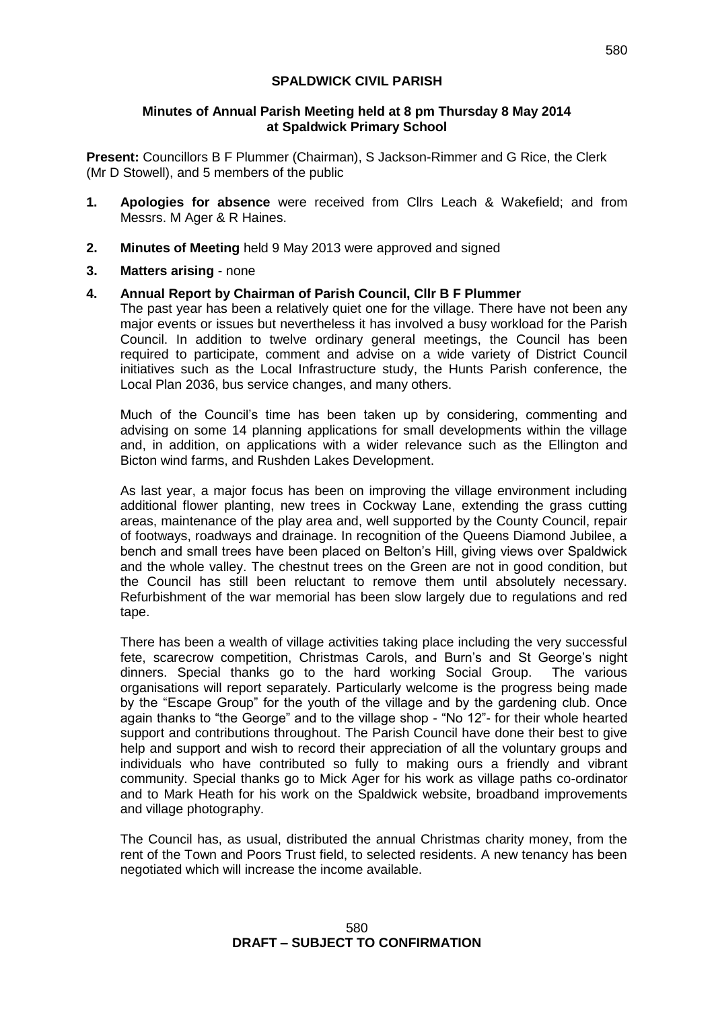# **SPALDWICK CIVIL PARISH**

# **Minutes of Annual Parish Meeting held at 8 pm Thursday 8 May 2014 at Spaldwick Primary School**

**Present:** Councillors B F Plummer (Chairman), S Jackson-Rimmer and G Rice, the Clerk (Mr D Stowell), and 5 members of the public

- **1. Apologies for absence** were received from Cllrs Leach & Wakefield; and from Messrs. M Ager & R Haines.
- **2. Minutes of Meeting** held 9 May 2013 were approved and signed
- **3. Matters arising**  none

### **4. Annual Report by Chairman of Parish Council, Cllr B F Plummer**

The past year has been a relatively quiet one for the village. There have not been any major events or issues but nevertheless it has involved a busy workload for the Parish Council. In addition to twelve ordinary general meetings, the Council has been required to participate, comment and advise on a wide variety of District Council initiatives such as the Local Infrastructure study, the Hunts Parish conference, the Local Plan 2036, bus service changes, and many others.

Much of the Council's time has been taken up by considering, commenting and advising on some 14 planning applications for small developments within the village and, in addition, on applications with a wider relevance such as the Ellington and Bicton wind farms, and Rushden Lakes Development.

As last year, a major focus has been on improving the village environment including additional flower planting, new trees in Cockway Lane, extending the grass cutting areas, maintenance of the play area and, well supported by the County Council, repair of footways, roadways and drainage. In recognition of the Queens Diamond Jubilee, a bench and small trees have been placed on Belton's Hill, giving views over Spaldwick and the whole valley. The chestnut trees on the Green are not in good condition, but the Council has still been reluctant to remove them until absolutely necessary. Refurbishment of the war memorial has been slow largely due to regulations and red tape.

There has been a wealth of village activities taking place including the very successful fete, scarecrow competition, Christmas Carols, and Burn's and St George's night dinners. Special thanks go to the hard working Social Group. The various organisations will report separately. Particularly welcome is the progress being made by the "Escape Group" for the youth of the village and by the gardening club. Once again thanks to "the George" and to the village shop - "No 12"- for their whole hearted support and contributions throughout. The Parish Council have done their best to give help and support and wish to record their appreciation of all the voluntary groups and individuals who have contributed so fully to making ours a friendly and vibrant community. Special thanks go to Mick Ager for his work as village paths co-ordinator and to Mark Heath for his work on the Spaldwick website, broadband improvements and village photography.

The Council has, as usual, distributed the annual Christmas charity money, from the rent of the Town and Poors Trust field, to selected residents. A new tenancy has been negotiated which will increase the income available.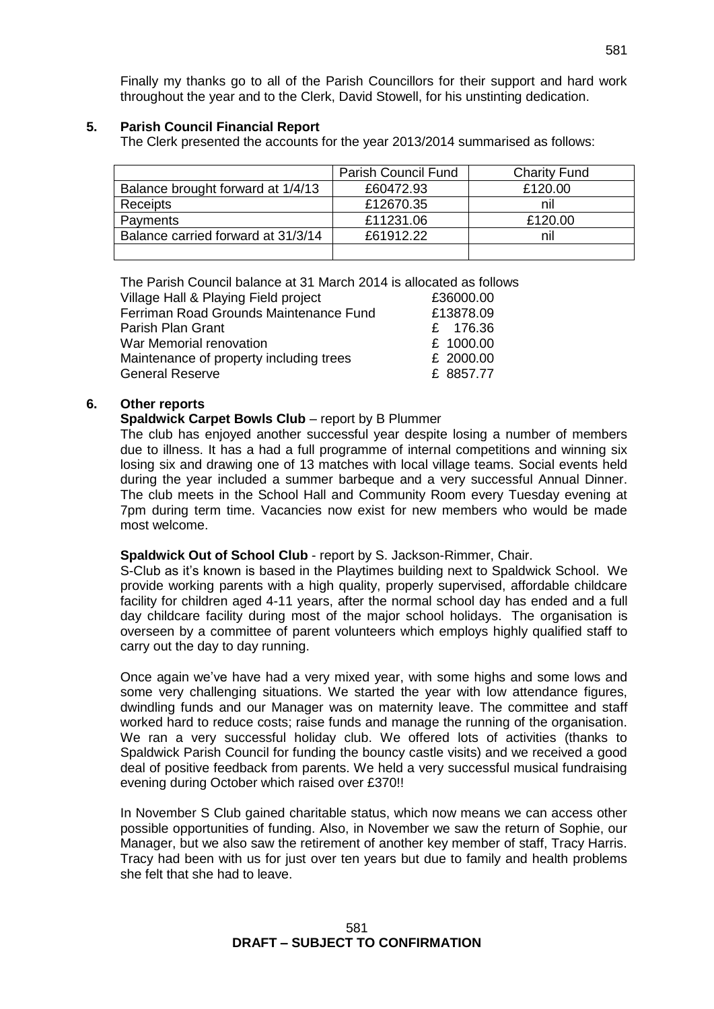Finally my thanks go to all of the Parish Councillors for their support and hard work throughout the year and to the Clerk, David Stowell, for his unstinting dedication.

# **5. Parish Council Financial Report**

The Clerk presented the accounts for the year 2013/2014 summarised as follows:

|                                    | <b>Parish Council Fund</b> | <b>Charity Fund</b> |
|------------------------------------|----------------------------|---------------------|
| Balance brought forward at 1/4/13  | £60472.93                  | £120.00             |
| Receipts                           | £12670.35                  | nil                 |
| Payments                           | £11231.06                  | £120.00             |
| Balance carried forward at 31/3/14 | £61912.22                  | nil                 |
|                                    |                            |                     |

The Parish Council balance at 31 March 2014 is allocated as follows

| Village Hall & Playing Field project    | £36000.00 |
|-----------------------------------------|-----------|
| Ferriman Road Grounds Maintenance Fund  | £13878.09 |
| Parish Plan Grant                       | £ 176.36  |
| War Memorial renovation                 | £ 1000.00 |
| Maintenance of property including trees | £ 2000.00 |
| <b>General Reserve</b>                  | £ 8857.77 |

# **6. Other reports**

**Spaldwick Carpet Bowls Club – report by B Plummer** 

The club has enjoyed another successful year despite losing a number of members due to illness. It has a had a full programme of internal competitions and winning six losing six and drawing one of 13 matches with local village teams. Social events held during the year included a summer barbeque and a very successful Annual Dinner. The club meets in the School Hall and Community Room every Tuesday evening at 7pm during term time. Vacancies now exist for new members who would be made most welcome.

# **Spaldwick Out of School Club** - report by S. Jackson-Rimmer, Chair.

S-Club as it's known is based in the Playtimes building next to Spaldwick School. We provide working parents with a high quality, properly supervised, affordable childcare facility for children aged 4-11 years, after the normal school day has ended and a full day childcare facility during most of the major school holidays. The organisation is overseen by a committee of parent volunteers which employs highly qualified staff to carry out the day to day running.

Once again we've have had a very mixed year, with some highs and some lows and some very challenging situations. We started the year with low attendance figures, dwindling funds and our Manager was on maternity leave. The committee and staff worked hard to reduce costs; raise funds and manage the running of the organisation. We ran a very successful holiday club. We offered lots of activities (thanks to Spaldwick Parish Council for funding the bouncy castle visits) and we received a good deal of positive feedback from parents. We held a very successful musical fundraising evening during October which raised over £370!!

In November S Club gained charitable status, which now means we can access other possible opportunities of funding. Also, in November we saw the return of Sophie, our Manager, but we also saw the retirement of another key member of staff, Tracy Harris. Tracy had been with us for just over ten years but due to family and health problems she felt that she had to leave.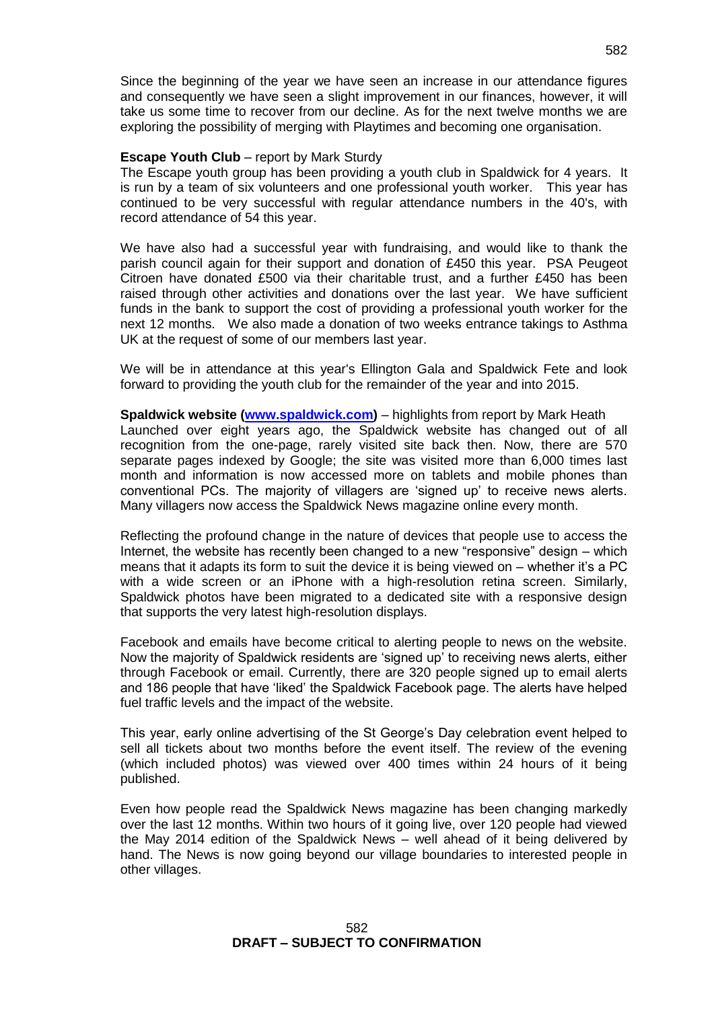Since the beginning of the year we have seen an increase in our attendance figures and consequently we have seen a slight improvement in our finances, however, it will take us some time to recover from our decline. As for the next twelve months we are exploring the possibility of merging with Playtimes and becoming one organisation.

### **Escape Youth Club** – report by Mark Sturdy

The Escape youth group has been providing a youth club in Spaldwick for 4 years. It is run by a team of six volunteers and one professional youth worker. This year has continued to be very successful with regular attendance numbers in the 40's, with record attendance of 54 this year.

We have also had a successful year with fundraising, and would like to thank the parish council again for their support and donation of £450 this year. PSA Peugeot Citroen have donated £500 via their charitable trust, and a further £450 has been raised through other activities and donations over the last year. We have sufficient funds in the bank to support the cost of providing a professional youth worker for the next 12 months. We also made a donation of two weeks entrance takings to Asthma UK at the request of some of our members last year.

We will be in attendance at this year's Ellington Gala and Spaldwick Fete and look forward to providing the youth club for the remainder of the year and into 2015.

**Spaldwick website [\(www.spaldwick.com\)](http://www.spaldwick.com/)** – highlights from report by Mark Heath Launched over eight years ago, the Spaldwick website has changed out of all recognition from the one-page, rarely visited site back then. Now, there are 570 separate pages indexed by Google; the site was visited more than 6,000 times last month and information is now accessed more on tablets and mobile phones than conventional PCs. The majority of villagers are 'signed up' to receive news alerts. Many villagers now access the Spaldwick News magazine online every month.

Reflecting the profound change in the nature of devices that people use to access the Internet, the website has recently been changed to a new "responsive" design – which means that it adapts its form to suit the device it is being viewed on – whether it's a PC with a wide screen or an iPhone with a high-resolution retina screen. Similarly, Spaldwick photos have been migrated to a dedicated site with a responsive design that supports the very latest high-resolution displays.

Facebook and emails have become critical to alerting people to news on the website. Now the majority of Spaldwick residents are 'signed up' to receiving news alerts, either through Facebook or email. Currently, there are 320 people signed up to email alerts and 186 people that have 'liked' the Spaldwick Facebook page. The alerts have helped fuel traffic levels and the impact of the website.

This year, early online advertising of the St George's Day celebration event helped to sell all tickets about two months before the event itself. The review of the evening (which included photos) was viewed over 400 times within 24 hours of it being published.

Even how people read the Spaldwick News magazine has been changing markedly over the last 12 months. Within two hours of it going live, over 120 people had viewed the May 2014 edition of the Spaldwick News – well ahead of it being delivered by hand. The News is now going beyond our village boundaries to interested people in other villages.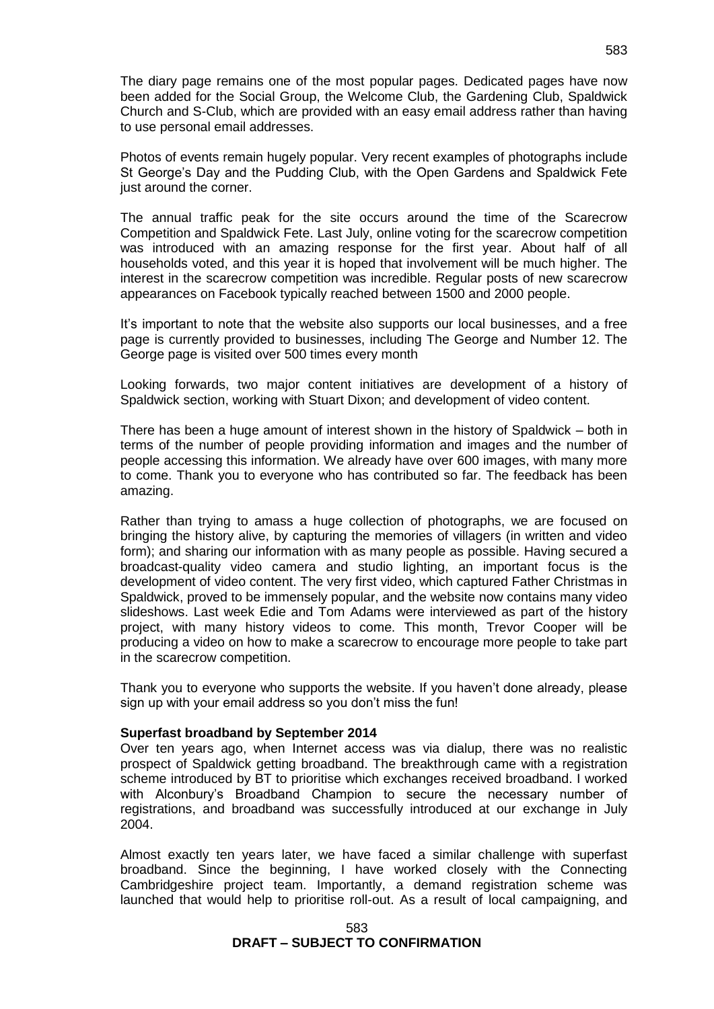The diary page remains one of the most popular pages. Dedicated pages have now been added for the Social Group, the Welcome Club, the Gardening Club, Spaldwick Church and S-Club, which are provided with an easy email address rather than having to use personal email addresses.

Photos of events remain hugely popular. Very recent examples of photographs include St George's Day and the Pudding Club, with the Open Gardens and Spaldwick Fete just around the corner.

The annual traffic peak for the site occurs around the time of the Scarecrow Competition and Spaldwick Fete. Last July, online voting for the scarecrow competition was introduced with an amazing response for the first year. About half of all households voted, and this year it is hoped that involvement will be much higher. The interest in the scarecrow competition was incredible. Regular posts of new scarecrow appearances on Facebook typically reached between 1500 and 2000 people.

It's important to note that the website also supports our local businesses, and a free page is currently provided to businesses, including The George and Number 12. The George page is visited over 500 times every month

Looking forwards, two major content initiatives are development of a history of Spaldwick section, working with Stuart Dixon; and development of video content.

There has been a huge amount of interest shown in the history of Spaldwick – both in terms of the number of people providing information and images and the number of people accessing this information. We already have over 600 images, with many more to come. Thank you to everyone who has contributed so far. The feedback has been amazing.

Rather than trying to amass a huge collection of photographs, we are focused on bringing the history alive, by capturing the memories of villagers (in written and video form); and sharing our information with as many people as possible. Having secured a broadcast-quality video camera and studio lighting, an important focus is the development of video content. The very first video, which captured Father Christmas in Spaldwick, proved to be immensely popular, and the website now contains many video slideshows. Last week Edie and Tom Adams were interviewed as part of the history project, with many history videos to come. This month, Trevor Cooper will be producing a video on how to make a scarecrow to encourage more people to take part in the scarecrow competition.

Thank you to everyone who supports the website. If you haven't done already, please sign up with your email address so you don't miss the fun!

### **Superfast broadband by September 2014**

Over ten years ago, when Internet access was via dialup, there was no realistic prospect of Spaldwick getting broadband. The breakthrough came with a registration scheme introduced by BT to prioritise which exchanges received broadband. I worked with Alconbury's Broadband Champion to secure the necessary number of registrations, and broadband was successfully introduced at our exchange in July 2004.

Almost exactly ten years later, we have faced a similar challenge with superfast broadband. Since the beginning, I have worked closely with the Connecting Cambridgeshire project team. Importantly, a demand registration scheme was launched that would help to prioritise roll-out. As a result of local campaigning, and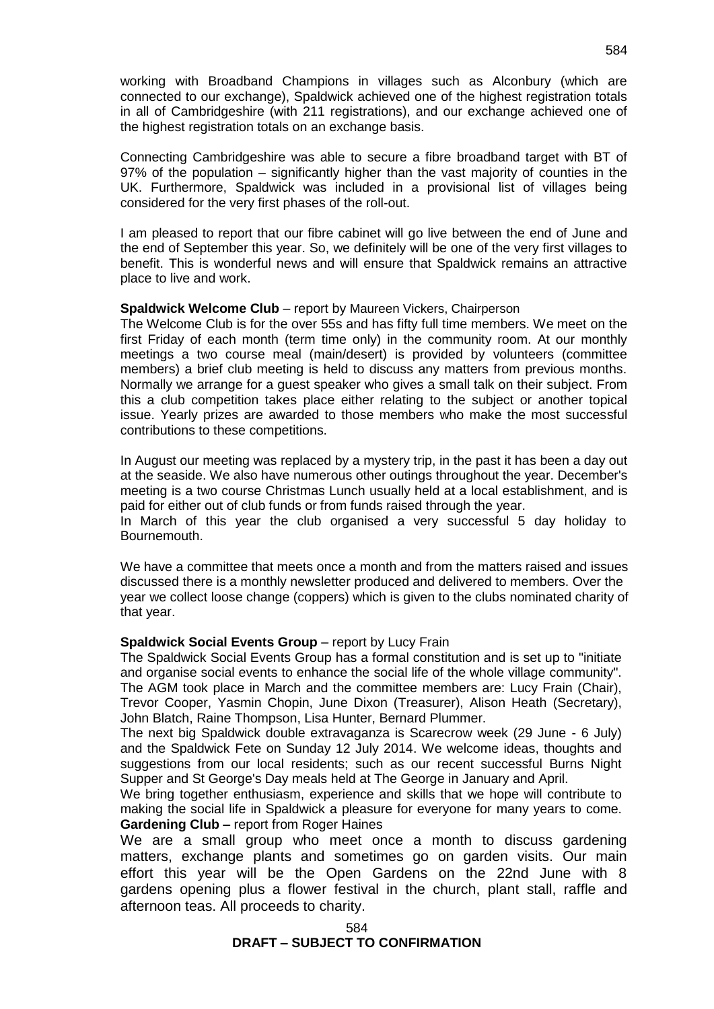working with Broadband Champions in villages such as Alconbury (which are connected to our exchange), Spaldwick achieved one of the highest registration totals in all of Cambridgeshire (with 211 registrations), and our exchange achieved one of the highest registration totals on an exchange basis.

Connecting Cambridgeshire was able to secure a fibre broadband target with BT of 97% of the population – significantly higher than the vast majority of counties in the UK. Furthermore, Spaldwick was included in a provisional list of villages being considered for the very first phases of the roll-out.

I am pleased to report that our fibre cabinet will go live between the end of June and the end of September this year. So, we definitely will be one of the very first villages to benefit. This is wonderful news and will ensure that Spaldwick remains an attractive place to live and work.

### **Spaldwick Welcome Club** – report by Maureen Vickers, Chairperson

The Welcome Club is for the over 55s and has fifty full time members. We meet on the first Friday of each month (term time only) in the community room. At our monthly meetings a two course meal (main/desert) is provided by volunteers (committee members) a brief club meeting is held to discuss any matters from previous months. Normally we arrange for a guest speaker who gives a small talk on their subject. From this a club competition takes place either relating to the subject or another topical issue. Yearly prizes are awarded to those members who make the most successful contributions to these competitions.

In August our meeting was replaced by a mystery trip, in the past it has been a day out at the seaside. We also have numerous other outings throughout the year. December's meeting is a two course Christmas Lunch usually held at a local establishment, and is paid for either out of club funds or from funds raised through the year.

In March of this year the club organised a very successful 5 day holiday to Bournemouth.

We have a committee that meets once a month and from the matters raised and issues discussed there is a monthly newsletter produced and delivered to members. Over the year we collect loose change (coppers) which is given to the clubs nominated charity of that year.

#### **Spaldwick Social Events Group** – report by Lucy Frain

The Spaldwick Social Events Group has a formal constitution and is set up to "initiate and organise social events to enhance the social life of the whole village community". The AGM took place in March and the committee members are: Lucy Frain (Chair), Trevor Cooper, Yasmin Chopin, June Dixon (Treasurer), Alison Heath (Secretary), John Blatch, Raine Thompson, Lisa Hunter, Bernard Plummer.

The next big Spaldwick double extravaganza is Scarecrow week (29 June - 6 July) and the Spaldwick Fete on Sunday 12 July 2014. We welcome ideas, thoughts and suggestions from our local residents; such as our recent successful Burns Night Supper and St George's Day meals held at The George in January and April.

We bring together enthusiasm, experience and skills that we hope will contribute to making the social life in Spaldwick a pleasure for everyone for many years to come. **Gardening Club –** report from Roger Haines

We are a small group who meet once a month to discuss gardening matters, exchange plants and sometimes go on garden visits. Our main effort this year will be the Open Gardens on the 22nd June with 8 gardens opening plus a flower festival in the church, plant stall, raffle and afternoon teas. All proceeds to charity.